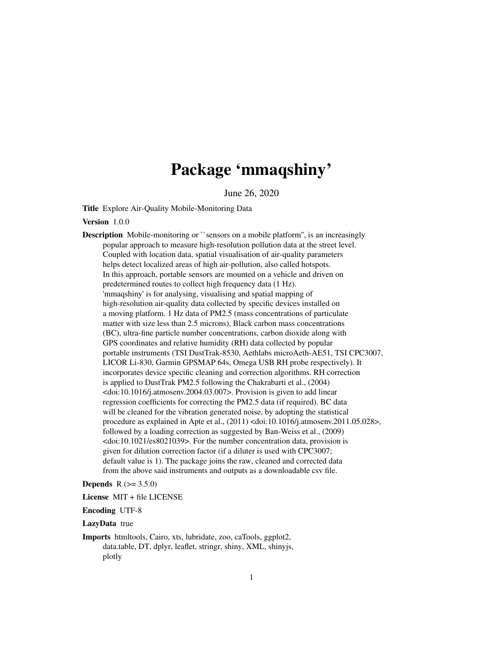# Package 'mmaqshiny'

June 26, 2020

Title Explore Air-Quality Mobile-Monitoring Data

Version 1.0.0

**Description** Mobile-monitoring or ``sensors on a mobile platform'', is an increasingly popular approach to measure high-resolution pollution data at the street level. Coupled with location data, spatial visualisation of air-quality parameters helps detect localized areas of high air-pollution, also called hotspots. In this approach, portable sensors are mounted on a vehicle and driven on predetermined routes to collect high frequency data (1 Hz). 'mmaqshiny' is for analysing, visualising and spatial mapping of high-resolution air-quality data collected by specific devices installed on a moving platform. 1 Hz data of PM2.5 (mass concentrations of particulate matter with size less than 2.5 microns), Black carbon mass concentrations (BC), ultra-fine particle number concentrations, carbon dioxide along with GPS coordinates and relative humidity (RH) data collected by popular portable instruments (TSI DustTrak-8530, Aethlabs microAeth-AE51, TSI CPC3007, LICOR Li-830, Garmin GPSMAP 64s, Omega USB RH probe respectively). It incorporates device specific cleaning and correction algorithms. RH correction is applied to DustTrak PM2.5 following the Chakrabarti et al., (2004)  $\le$ doi:10.1016/j.atmosenv.2004.03.007>. Provision is given to add linear regression coefficients for correcting the PM2.5 data (if required). BC data will be cleaned for the vibration generated noise, by adopting the statistical procedure as explained in Apte et al., (2011) <doi:10.1016/j.atmosenv.2011.05.028>, followed by a loading correction as suggested by Ban-Weiss et al., (2009) <doi:10.1021/es8021039>. For the number concentration data, provision is given for dilution correction factor (if a diluter is used with CPC3007; default value is 1). The package joins the raw, cleaned and corrected data from the above said instruments and outputs as a downloadable csv file.

#### **Depends**  $R (= 3.5.0)$

License MIT + file LICENSE

Encoding UTF-8

#### LazyData true

Imports htmltools, Cairo, xts, lubridate, zoo, caTools, ggplot2, data.table, DT, dplyr, leaflet, stringr, shiny, XML, shinyjs, plotly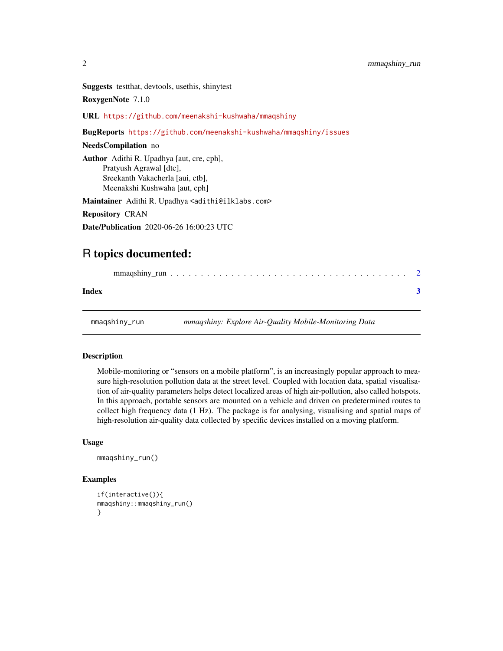<span id="page-1-0"></span>Suggests testthat, devtools, usethis, shinytest

RoxygenNote 7.1.0

URL <https://github.com/meenakshi-kushwaha/mmaqshiny>

BugReports <https://github.com/meenakshi-kushwaha/mmaqshiny/issues>

#### NeedsCompilation no

Author Adithi R. Upadhya [aut, cre, cph], Pratyush Agrawal [dtc], Sreekanth Vakacherla [aui, ctb], Meenakshi Kushwaha [aut, cph]

Maintainer Adithi R. Upadhya <adithi@ilklabs.com>

Repository CRAN

Date/Publication 2020-06-26 16:00:23 UTC

### R topics documented:

| Index |               |  |                                                       |  |
|-------|---------------|--|-------------------------------------------------------|--|
|       | mmaqshiny_run |  | mmaqshiny: Explore Air-Quality Mobile-Monitoring Data |  |

#### Description

Mobile-monitoring or "sensors on a mobile platform", is an increasingly popular approach to measure high-resolution pollution data at the street level. Coupled with location data, spatial visualisation of air-quality parameters helps detect localized areas of high air-pollution, also called hotspots. In this approach, portable sensors are mounted on a vehicle and driven on predetermined routes to collect high frequency data (1 Hz). The package is for analysing, visualising and spatial maps of high-resolution air-quality data collected by specific devices installed on a moving platform.

#### Usage

```
mmaqshiny_run()
```
#### Examples

```
if(interactive()){
mmaqshiny::mmaqshiny_run()
}
```